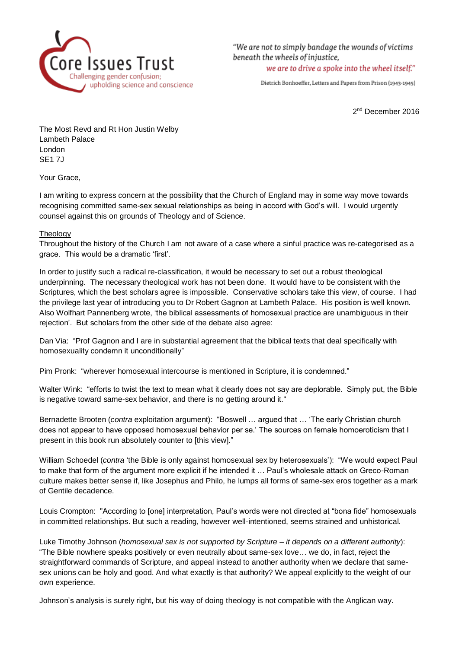

"We are not to simply bandage the wounds of victims beneath the wheels of injustice. we are to drive a spoke into the wheel itself."

Dietrich Bonhoeffer, Letters and Papers from Prison (1943-1945)

2<sup>nd</sup> December 2016

The Most Revd and Rt Hon Justin Welby Lambeth Palace London SE1 7J

Your Grace,

I am writing to express concern at the possibility that the Church of England may in some way move towards recognising committed same-sex sexual relationships as being in accord with God's will. I would urgently counsel against this on grounds of Theology and of Science.

## **Theology**

Throughout the history of the Church I am not aware of a case where a sinful practice was re-categorised as a grace. This would be a dramatic 'first'.

In order to justify such a radical re-classification, it would be necessary to set out a robust theological underpinning. The necessary theological work has not been done. It would have to be consistent with the Scriptures, which the best scholars agree is impossible. Conservative scholars take this view, of course. I had the privilege last year of introducing you to Dr Robert Gagnon at Lambeth Palace. His position is well known. Also Wolfhart Pannenberg wrote, 'the biblical assessments of homosexual practice are unambiguous in their rejection'. But scholars from the other side of the debate also agree:

Dan Via: "Prof Gagnon and I are in substantial agreement that the biblical texts that deal specifically with homosexuality condemn it unconditionally"

Pim Pronk: "wherever homosexual intercourse is mentioned in Scripture, it is condemned."

Walter Wink: "efforts to twist the text to mean what it clearly does not say are deplorable. Simply put, the Bible is negative toward same-sex behavior, and there is no getting around it."

Bernadette Brooten (*contra* exploitation argument): "Boswell … argued that … 'The early Christian church does not appear to have opposed homosexual behavior per se.' The sources on female homoeroticism that I present in this book run absolutely counter to [this view]."

William Schoedel (*contra* 'the Bible is only against homosexual sex by heterosexuals'): "We would expect Paul to make that form of the argument more explicit if he intended it … Paul's wholesale attack on Greco-Roman culture makes better sense if, like Josephus and Philo, he lumps all forms of same-sex eros together as a mark of Gentile decadence.

Louis Crompton: "According to [one] interpretation, Paul's words were not directed at "bona fide" homosexuals in committed relationships. But such a reading, however well-intentioned, seems strained and unhistorical.

Luke Timothy Johnson (*homosexual sex is not supported by Scripture – it depends on a different authority*): "The Bible nowhere speaks positively or even neutrally about same-sex love… we do, in fact, reject the straightforward commands of Scripture, and appeal instead to another authority when we declare that samesex unions can be holy and good. And what exactly is that authority? We appeal explicitly to the weight of our own experience.

Johnson's analysis is surely right, but his way of doing theology is not compatible with the Anglican way.